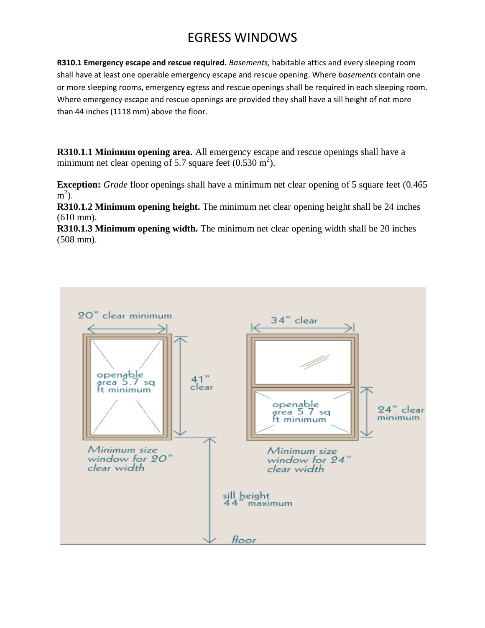## EGRESS WINDOWS

**R310.1 Emergency escape and rescue required.** *Basements,* habitable attics and every sleeping room shall have at least one operable emergency escape and rescue opening. Where *basements* contain one or more sleeping rooms, emergency egress and rescue openings shall be required in each sleeping room. Where emergency escape and rescue openings are provided they shall have a sill height of not more than 44 inches (1118 mm) above the floor.

**R310.1.1 Minimum opening area.** All emergency escape and rescue openings shall have a minimum net clear opening of 5.7 square feet  $(0.530 \text{ m}^2)$ .

**Exception:** *Grade* floor openings shall have a minimum net clear opening of 5 square feet (0.465)  $m^2$ ).

**R310.1.2 Minimum opening height.** The minimum net clear opening height shall be 24 inches (610 mm).

**R310.1.3 Minimum opening width.** The minimum net clear opening width shall be 20 inches (508 mm).